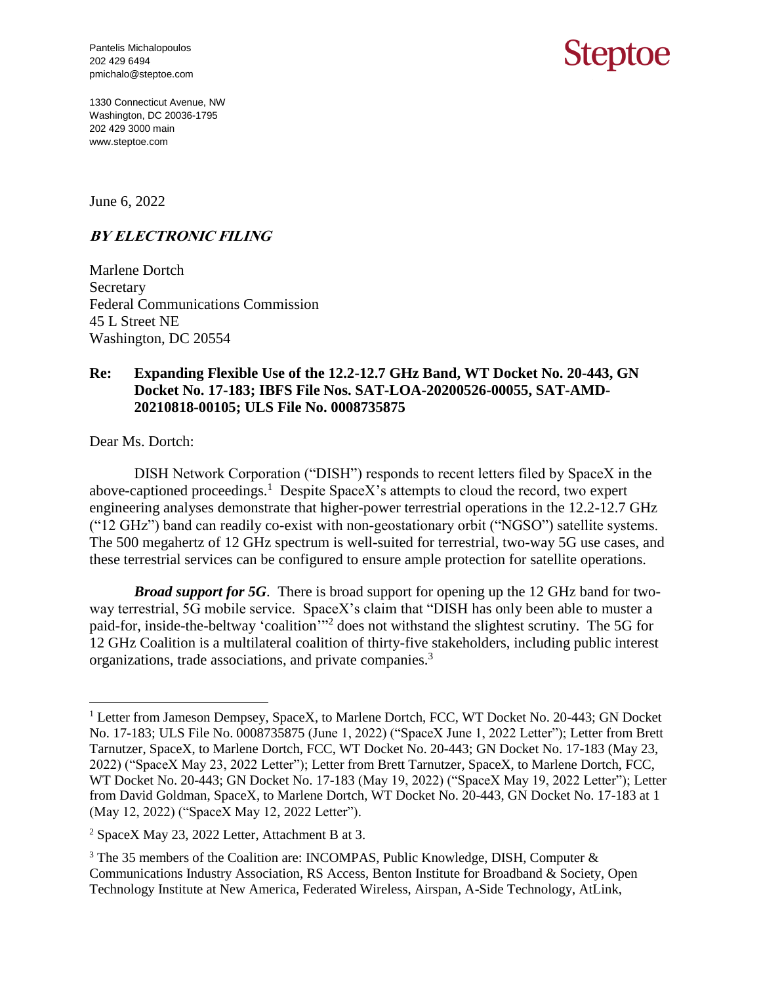Pantelis Michalopoulos 202 429 6494 pmichalo@steptoe.com

## Steptoe

1330 Connecticut Avenue, NW Washington, DC 20036-1795 202 429 3000 main www.steptoe.com

June 6, 2022

## **BY ELECTRONIC FILING**

Marlene Dortch Secretary Federal Communications Commission 45 L Street NE Washington, DC 20554

## **Re: Expanding Flexible Use of the 12.2-12.7 GHz Band, WT Docket No. 20-443, GN Docket No. 17-183; IBFS File Nos. SAT-LOA-20200526-00055, SAT-AMD-20210818-00105; ULS File No. 0008735875**

Dear Ms. Dortch:

 $\overline{a}$ 

DISH Network Corporation ("DISH") responds to recent letters filed by SpaceX in the above-captioned proceedings.<sup>1</sup> Despite SpaceX's attempts to cloud the record, two expert engineering analyses demonstrate that higher-power terrestrial operations in the 12.2-12.7 GHz ("12 GHz") band can readily co-exist with non-geostationary orbit ("NGSO") satellite systems. The 500 megahertz of 12 GHz spectrum is well-suited for terrestrial, two-way 5G use cases, and these terrestrial services can be configured to ensure ample protection for satellite operations.

*Broad support for 5G*. There is broad support for opening up the 12 GHz band for twoway terrestrial, 5G mobile service. SpaceX's claim that "DISH has only been able to muster a paid-for, inside-the-beltway 'coalition'<sup>2</sup> does not withstand the slightest scrutiny. The 5G for 12 GHz Coalition is a multilateral coalition of thirty-five stakeholders, including public interest organizations, trade associations, and private companies. 3

<sup>&</sup>lt;sup>1</sup> Letter from Jameson Dempsey, SpaceX, to Marlene Dortch, FCC, WT Docket No. 20-443; GN Docket No. 17-183; ULS File No. 0008735875 (June 1, 2022) ("SpaceX June 1, 2022 Letter"); Letter from Brett Tarnutzer, SpaceX, to Marlene Dortch, FCC, WT Docket No. 20-443; GN Docket No. 17-183 (May 23, 2022) ("SpaceX May 23, 2022 Letter"); Letter from Brett Tarnutzer, SpaceX, to Marlene Dortch, FCC, WT Docket No. 20-443; GN Docket No. 17-183 (May 19, 2022) ("SpaceX May 19, 2022 Letter"); Letter from David Goldman, SpaceX, to Marlene Dortch, WT Docket No. 20-443, GN Docket No. 17-183 at 1 (May 12, 2022) ("SpaceX May 12, 2022 Letter").

<sup>2</sup> SpaceX May 23, 2022 Letter, Attachment B at 3.

<sup>&</sup>lt;sup>3</sup> The 35 members of the Coalition are: INCOMPAS, Public Knowledge, DISH, Computer  $\&$ Communications Industry Association, RS Access, Benton Institute for Broadband & Society, Open Technology Institute at New America, Federated Wireless, Airspan, A-Side Technology, AtLink,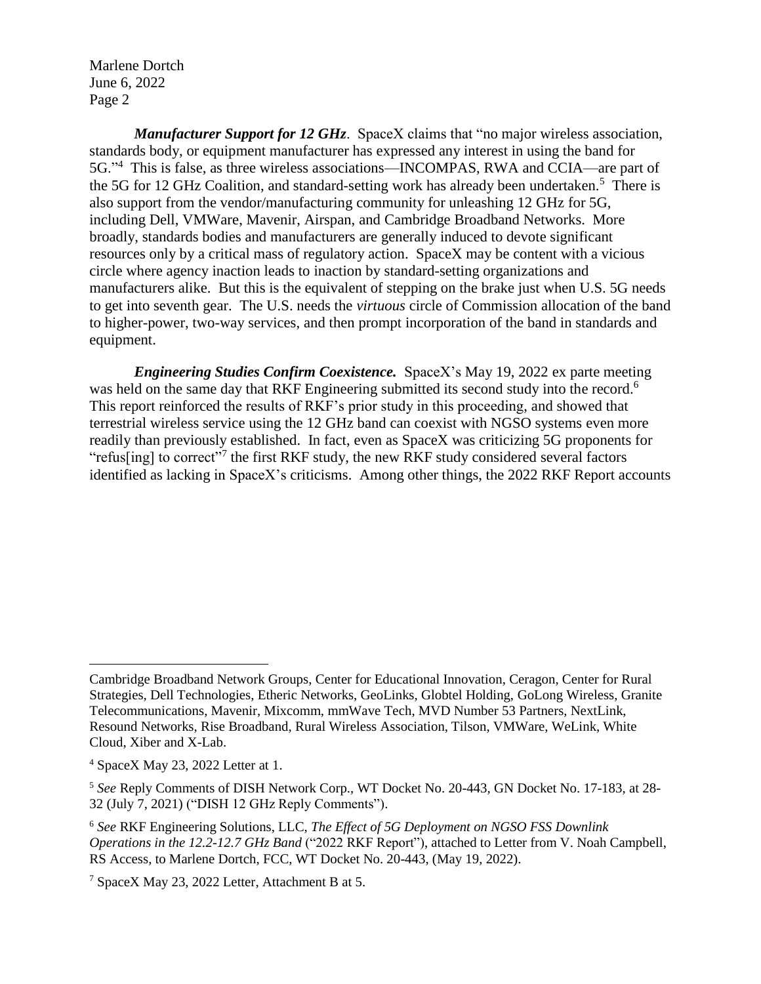*Manufacturer Support for 12 GHz.* SpaceX claims that "no major wireless association, standards body, or equipment manufacturer has expressed any interest in using the band for 5G."<sup>4</sup> This is false, as three wireless associations—INCOMPAS, RWA and CCIA—are part of the 5G for 12 GHz Coalition, and standard-setting work has already been undertaken.<sup>5</sup> There is also support from the vendor/manufacturing community for unleashing 12 GHz for 5G, including Dell, VMWare, Mavenir, Airspan, and Cambridge Broadband Networks. More broadly, standards bodies and manufacturers are generally induced to devote significant resources only by a critical mass of regulatory action. SpaceX may be content with a vicious circle where agency inaction leads to inaction by standard-setting organizations and manufacturers alike. But this is the equivalent of stepping on the brake just when U.S. 5G needs to get into seventh gear. The U.S. needs the *virtuous* circle of Commission allocation of the band to higher-power, two-way services, and then prompt incorporation of the band in standards and equipment.

*Engineering Studies Confirm Coexistence.* SpaceX's May 19, 2022 ex parte meeting was held on the same day that RKF Engineering submitted its second study into the record.<sup>6</sup> This report reinforced the results of RKF's prior study in this proceeding, and showed that terrestrial wireless service using the 12 GHz band can coexist with NGSO systems even more readily than previously established. In fact, even as SpaceX was criticizing 5G proponents for "refus[ing] to correct"<sup>7</sup> the first RKF study, the new RKF study considered several factors identified as lacking in SpaceX's criticisms. Among other things, the 2022 RKF Report accounts

 $\overline{a}$ 

Cambridge Broadband Network Groups, Center for Educational Innovation, Ceragon, Center for Rural Strategies, Dell Technologies, Etheric Networks, GeoLinks, Globtel Holding, GoLong Wireless, Granite Telecommunications, Mavenir, Mixcomm, mmWave Tech, MVD Number 53 Partners, NextLink, Resound Networks, Rise Broadband, Rural Wireless Association, Tilson, VMWare, WeLink, White Cloud, Xiber and X-Lab.

<sup>4</sup> SpaceX May 23, 2022 Letter at 1.

<sup>5</sup> *See* Reply Comments of DISH Network Corp., WT Docket No. 20-443, GN Docket No. 17-183, at 28- 32 (July 7, 2021) ("DISH 12 GHz Reply Comments").

<sup>6</sup> *See* RKF Engineering Solutions, LLC, *The Effect of 5G Deployment on NGSO FSS Downlink Operations in the 12.2-12.7 GHz Band* ("2022 RKF Report"), attached to Letter from V. Noah Campbell, RS Access, to Marlene Dortch, FCC, WT Docket No. 20-443, (May 19, 2022).

<sup>7</sup> SpaceX May 23, 2022 Letter, Attachment B at 5.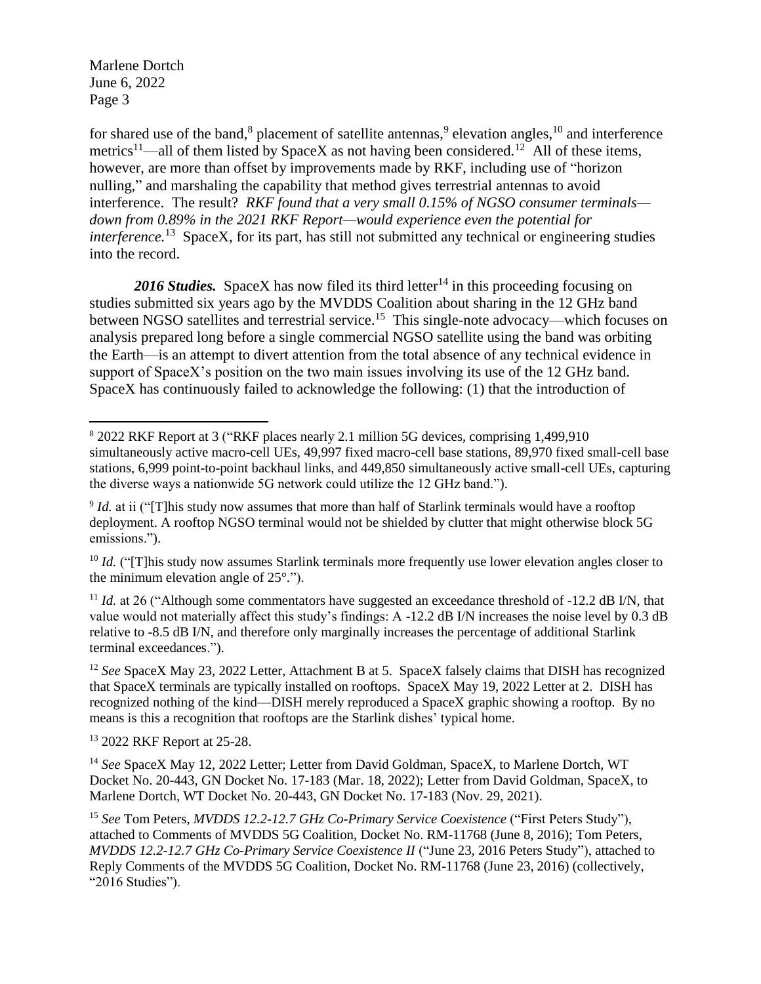$\overline{a}$ 

for shared use of the band,<sup>8</sup> placement of satellite antennas,<sup>9</sup> elevation angles,<sup>10</sup> and interference metrics<sup>11</sup>—all of them listed by SpaceX as not having been considered.<sup>12</sup> All of these items, however, are more than offset by improvements made by RKF, including use of "horizon nulling," and marshaling the capability that method gives terrestrial antennas to avoid interference. The result? *RKF found that a very small 0.15% of NGSO consumer terminals down from 0.89% in the 2021 RKF Report—would experience even the potential for interference.*<sup>13</sup> SpaceX, for its part, has still not submitted any technical or engineering studies into the record.

2016 Studies. SpaceX has now filed its third letter<sup>14</sup> in this proceeding focusing on studies submitted six years ago by the MVDDS Coalition about sharing in the 12 GHz band between NGSO satellites and terrestrial service.<sup>15</sup> This single-note advocacy—which focuses on analysis prepared long before a single commercial NGSO satellite using the band was orbiting the Earth—is an attempt to divert attention from the total absence of any technical evidence in support of SpaceX's position on the two main issues involving its use of the 12 GHz band. SpaceX has continuously failed to acknowledge the following: (1) that the introduction of

<sup>12</sup> *See* SpaceX May 23, 2022 Letter, Attachment B at 5. SpaceX falsely claims that DISH has recognized that SpaceX terminals are typically installed on rooftops. SpaceX May 19, 2022 Letter at 2. DISH has recognized nothing of the kind—DISH merely reproduced a SpaceX graphic showing a rooftop. By no means is this a recognition that rooftops are the Starlink dishes' typical home.

<sup>13</sup> 2022 RKF Report at 25-28.

<sup>8</sup> 2022 RKF Report at 3 ("RKF places nearly 2.1 million 5G devices, comprising 1,499,910 simultaneously active macro-cell UEs, 49,997 fixed macro-cell base stations, 89,970 fixed small-cell base stations, 6,999 point-to-point backhaul links, and 449,850 simultaneously active small-cell UEs, capturing the diverse ways a nationwide 5G network could utilize the 12 GHz band.").

<sup>&</sup>lt;sup>9</sup> *Id.* at ii ("[T]his study now assumes that more than half of Starlink terminals would have a rooftop deployment. A rooftop NGSO terminal would not be shielded by clutter that might otherwise block 5G emissions.").

<sup>&</sup>lt;sup>10</sup> *Id.* ("[T]his study now assumes Starlink terminals more frequently use lower elevation angles closer to the minimum elevation angle of 25°.").

 $11$  *Id.* at 26 ("Although some commentators have suggested an exceedance threshold of  $-12.2$  dB I/N, that value would not materially affect this study's findings: A -12.2 dB I/N increases the noise level by 0.3 dB relative to -8.5 dB I/N, and therefore only marginally increases the percentage of additional Starlink terminal exceedances.").

<sup>&</sup>lt;sup>14</sup> See SpaceX May 12, 2022 Letter; Letter from David Goldman, SpaceX, to Marlene Dortch, WT Docket No. 20-443, GN Docket No. 17-183 (Mar. 18, 2022); Letter from David Goldman, SpaceX, to Marlene Dortch, WT Docket No. 20-443, GN Docket No. 17-183 (Nov. 29, 2021).

<sup>15</sup> *See* Tom Peters, *MVDDS 12.2-12.7 GHz Co-Primary Service Coexistence* ("First Peters Study"), attached to Comments of MVDDS 5G Coalition, Docket No. RM-11768 (June 8, 2016); Tom Peters, *MVDDS 12.2-12.7 GHz Co-Primary Service Coexistence II* ("June 23, 2016 Peters Study"), attached to Reply Comments of the MVDDS 5G Coalition, Docket No. RM-11768 (June 23, 2016) (collectively, "2016 Studies").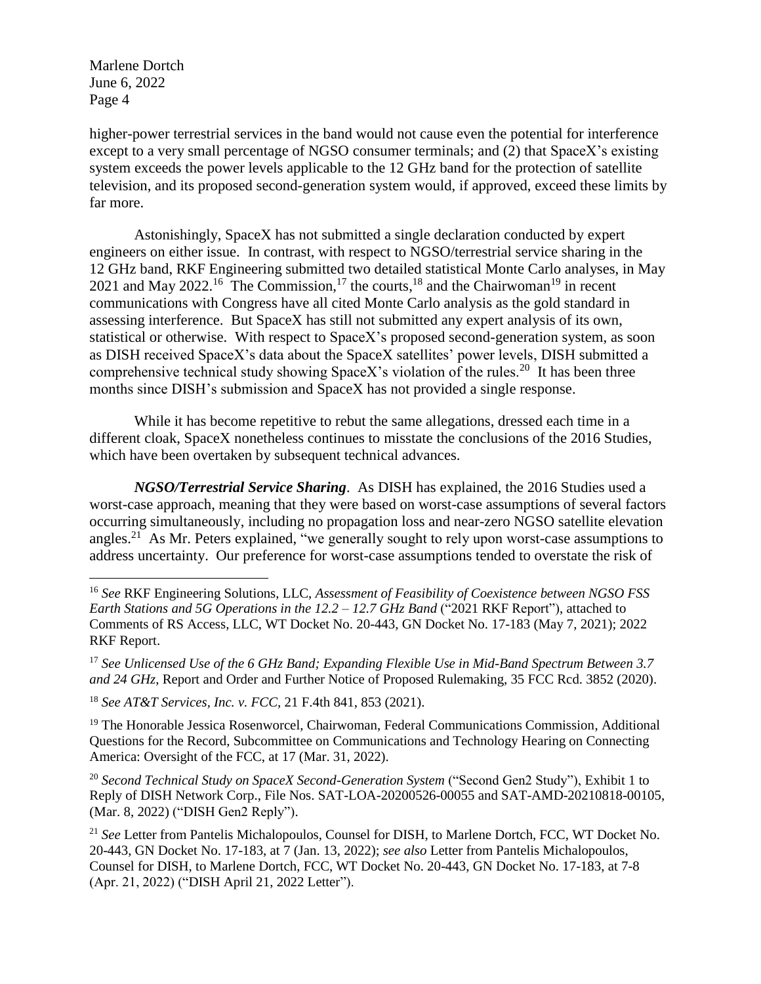$\overline{a}$ 

higher-power terrestrial services in the band would not cause even the potential for interference except to a very small percentage of NGSO consumer terminals; and (2) that SpaceX's existing system exceeds the power levels applicable to the 12 GHz band for the protection of satellite television, and its proposed second-generation system would, if approved, exceed these limits by far more.

Astonishingly, SpaceX has not submitted a single declaration conducted by expert engineers on either issue. In contrast, with respect to NGSO/terrestrial service sharing in the 12 GHz band, RKF Engineering submitted two detailed statistical Monte Carlo analyses, in May 2021 and May 2022.<sup>16</sup> The Commission,<sup>17</sup> the courts,<sup>18</sup> and the Chairwoman<sup>19</sup> in recent communications with Congress have all cited Monte Carlo analysis as the gold standard in assessing interference. But SpaceX has still not submitted any expert analysis of its own, statistical or otherwise. With respect to SpaceX's proposed second-generation system, as soon as DISH received SpaceX's data about the SpaceX satellites' power levels, DISH submitted a comprehensive technical study showing SpaceX's violation of the rules.<sup>20</sup> It has been three months since DISH's submission and SpaceX has not provided a single response.

While it has become repetitive to rebut the same allegations, dressed each time in a different cloak, SpaceX nonetheless continues to misstate the conclusions of the 2016 Studies, which have been overtaken by subsequent technical advances.

*NGSO/Terrestrial Service Sharing*. As DISH has explained, the 2016 Studies used a worst-case approach, meaning that they were based on worst-case assumptions of several factors occurring simultaneously, including no propagation loss and near-zero NGSO satellite elevation angles.<sup>21</sup> As Mr. Peters explained, "we generally sought to rely upon worst-case assumptions to address uncertainty. Our preference for worst-case assumptions tended to overstate the risk of

<sup>17</sup> *See Unlicensed Use of the 6 GHz Band; Expanding Flexible Use in Mid-Band Spectrum Between 3.7 and 24 GHz*, Report and Order and Further Notice of Proposed Rulemaking, 35 FCC Rcd. 3852 (2020).

<sup>18</sup> *See AT&T Services, Inc. v. FCC,* 21 F.4th 841, 853 (2021).

<sup>19</sup> The Honorable Jessica Rosenworcel, Chairwoman, Federal Communications Commission, Additional Questions for the Record, Subcommittee on Communications and Technology Hearing on Connecting America: Oversight of the FCC, at 17 (Mar. 31, 2022).

<sup>20</sup> *Second Technical Study on SpaceX Second-Generation System* ("Second Gen2 Study"), Exhibit 1 to Reply of DISH Network Corp., File Nos. SAT-LOA-20200526-00055 and SAT-AMD-20210818-00105, (Mar. 8, 2022) ("DISH Gen2 Reply").

<sup>21</sup> *See* Letter from Pantelis Michalopoulos, Counsel for DISH, to Marlene Dortch, FCC, WT Docket No. 20-443, GN Docket No. 17-183, at 7 (Jan. 13, 2022); *see also* Letter from Pantelis Michalopoulos, Counsel for DISH, to Marlene Dortch, FCC, WT Docket No. 20-443, GN Docket No. 17-183, at 7-8 (Apr. 21, 2022) ("DISH April 21, 2022 Letter").

<sup>16</sup> *See* RKF Engineering Solutions, LLC, *Assessment of Feasibility of Coexistence between NGSO FSS Earth Stations and 5G Operations in the 12.2 – 12.7 GHz Band* ("2021 RKF Report"), attached to Comments of RS Access, LLC, WT Docket No. 20-443, GN Docket No. 17-183 (May 7, 2021); 2022 RKF Report.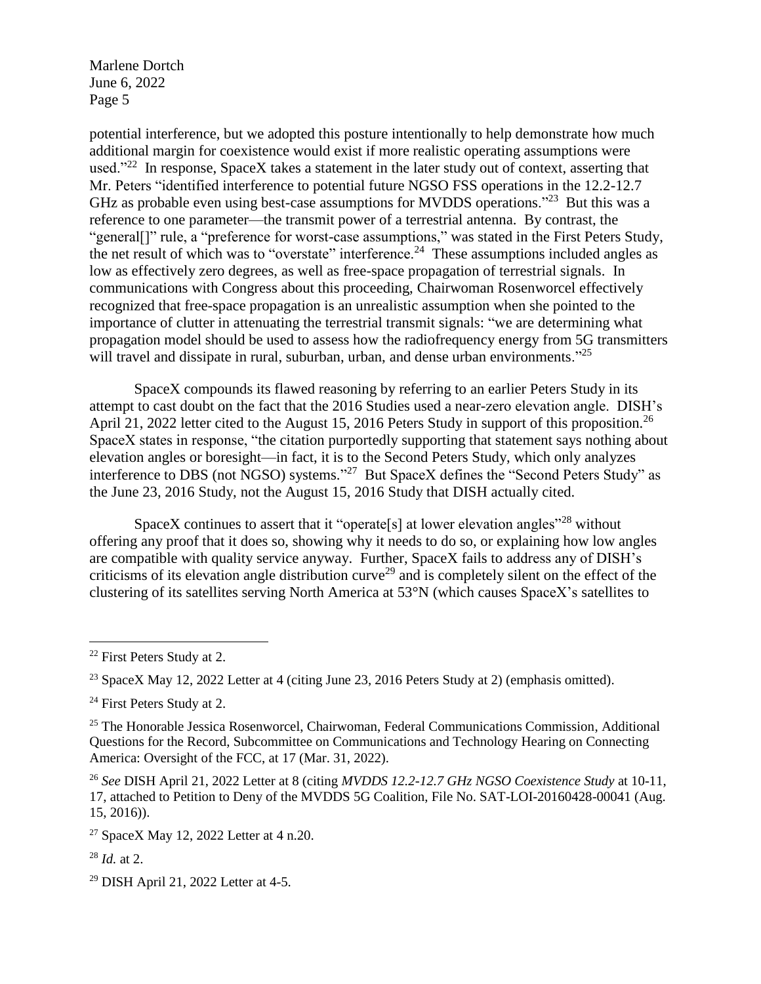potential interference, but we adopted this posture intentionally to help demonstrate how much additional margin for coexistence would exist if more realistic operating assumptions were used."<sup>22</sup> In response, SpaceX takes a statement in the later study out of context, asserting that Mr. Peters "identified interference to potential future NGSO FSS operations in the 12.2-12.7 GHz as probable even using best-case assumptions for MVDDS operations."<sup>23</sup> But this was a reference to one parameter—the transmit power of a terrestrial antenna. By contrast, the "general[]" rule, a "preference for worst-case assumptions," was stated in the First Peters Study, the net result of which was to "overstate" interference.<sup>24</sup> These assumptions included angles as low as effectively zero degrees, as well as free-space propagation of terrestrial signals. In communications with Congress about this proceeding, Chairwoman Rosenworcel effectively recognized that free-space propagation is an unrealistic assumption when she pointed to the importance of clutter in attenuating the terrestrial transmit signals: "we are determining what propagation model should be used to assess how the radiofrequency energy from 5G transmitters will travel and dissipate in rural, suburban, urban, and dense urban environments."<sup>25</sup>

SpaceX compounds its flawed reasoning by referring to an earlier Peters Study in its attempt to cast doubt on the fact that the 2016 Studies used a near-zero elevation angle. DISH's April 21, 2022 letter cited to the August 15, 2016 Peters Study in support of this proposition.<sup>26</sup> SpaceX states in response, "the citation purportedly supporting that statement says nothing about elevation angles or boresight—in fact, it is to the Second Peters Study, which only analyzes interference to DBS (not NGSO) systems."<sup>27</sup> But SpaceX defines the "Second Peters Study" as the June 23, 2016 Study, not the August 15, 2016 Study that DISH actually cited.

SpaceX continues to assert that it "operate<sup>[s]</sup> at lower elevation angles"<sup>28</sup> without offering any proof that it does so, showing why it needs to do so, or explaining how low angles are compatible with quality service anyway. Further, SpaceX fails to address any of DISH's criticisms of its elevation angle distribution curve<sup>29</sup> and is completely silent on the effect of the clustering of its satellites serving North America at 53°N (which causes SpaceX's satellites to

<sup>28</sup> *Id.* at 2.

 $\overline{a}$ 

<sup>22</sup> First Peters Study at 2.

<sup>&</sup>lt;sup>23</sup> SpaceX May 12, 2022 Letter at 4 (citing June 23, 2016 Peters Study at 2) (emphasis omitted).

<sup>&</sup>lt;sup>24</sup> First Peters Study at 2.

<sup>&</sup>lt;sup>25</sup> The Honorable Jessica Rosenworcel, Chairwoman, Federal Communications Commission, Additional Questions for the Record, Subcommittee on Communications and Technology Hearing on Connecting America: Oversight of the FCC, at 17 (Mar. 31, 2022).

<sup>26</sup> *See* DISH April 21, 2022 Letter at 8 (citing *MVDDS 12.2-12.7 GHz NGSO Coexistence Study* at 10-11, 17, attached to Petition to Deny of the MVDDS 5G Coalition, File No. SAT-LOI-20160428-00041 (Aug. 15, 2016)).

<sup>27</sup> SpaceX May 12, 2022 Letter at 4 n.20.

<sup>29</sup> DISH April 21, 2022 Letter at 4-5.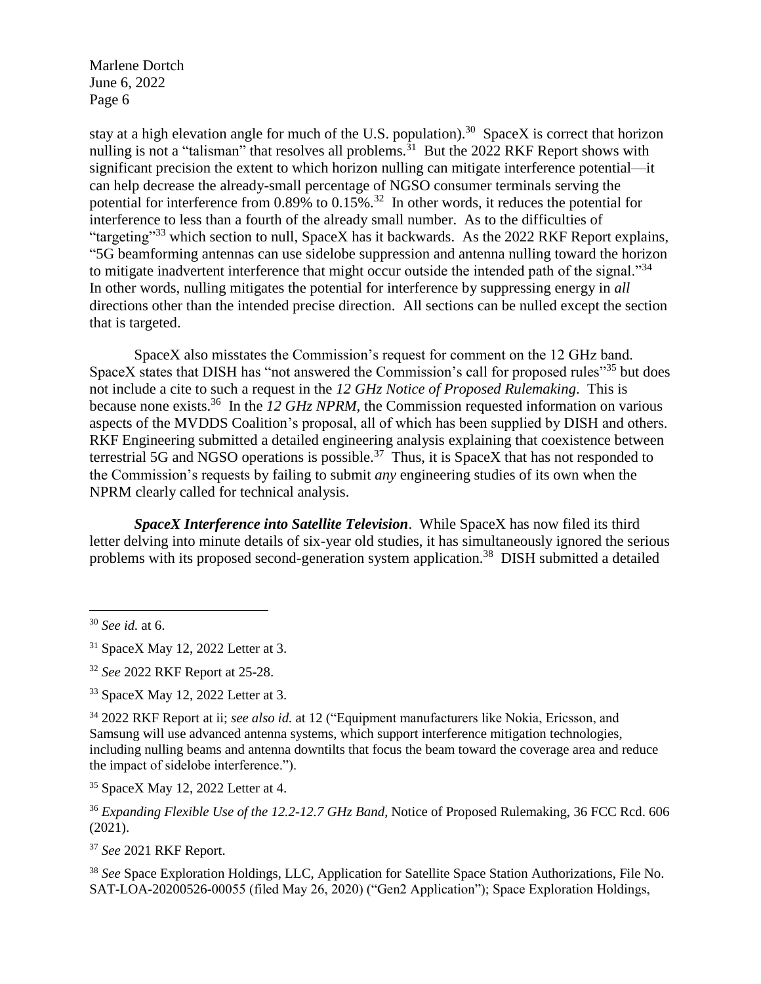stay at a high elevation angle for much of the U.S. population).<sup>30</sup> SpaceX is correct that horizon nulling is not a "talisman" that resolves all problems.<sup>31</sup> But the 2022 RKF Report shows with significant precision the extent to which horizon nulling can mitigate interference potential—it can help decrease the already-small percentage of NGSO consumer terminals serving the potential for interference from  $0.89\%$  to  $0.15\%$ .<sup>32</sup> In other words, it reduces the potential for interference to less than a fourth of the already small number. As to the difficulties of "targeting"<sup>33</sup> which section to null, SpaceX has it backwards. As the 2022 RKF Report explains, "5G beamforming antennas can use sidelobe suppression and antenna nulling toward the horizon to mitigate inadvertent interference that might occur outside the intended path of the signal."34 In other words, nulling mitigates the potential for interference by suppressing energy in *all*  directions other than the intended precise direction. All sections can be nulled except the section that is targeted.

SpaceX also misstates the Commission's request for comment on the 12 GHz band. SpaceX states that DISH has "not answered the Commission's call for proposed rules"<sup>35</sup> but does not include a cite to such a request in the *12 GHz Notice of Proposed Rulemaking*. This is because none exists.<sup>36</sup> In the *12 GHz NPRM*, the Commission requested information on various aspects of the MVDDS Coalition's proposal, all of which has been supplied by DISH and others. RKF Engineering submitted a detailed engineering analysis explaining that coexistence between terrestrial 5G and NGSO operations is possible.<sup>37</sup> Thus, it is SpaceX that has not responded to the Commission's requests by failing to submit *any* engineering studies of its own when the NPRM clearly called for technical analysis.

*SpaceX Interference into Satellite Television*. While SpaceX has now filed its third letter delving into minute details of six-year old studies, it has simultaneously ignored the serious problems with its proposed second-generation system application.<sup>38</sup> DISH submitted a detailed

<sup>30</sup> *See id.* at 6.

 $\overline{a}$ 

<sup>37</sup> *See* 2021 RKF Report.

<sup>38</sup> *See* Space Exploration Holdings, LLC, Application for Satellite Space Station Authorizations, File No. SAT-LOA-20200526-00055 (filed May 26, 2020) ("Gen2 Application"); Space Exploration Holdings,

 $31$  SpaceX May 12, 2022 Letter at 3.

<sup>32</sup> *See* 2022 RKF Report at 25-28.

<sup>33</sup> SpaceX May 12, 2022 Letter at 3.

<sup>34</sup> 2022 RKF Report at ii; *see also id.* at 12 ("Equipment manufacturers like Nokia, Ericsson, and Samsung will use advanced antenna systems, which support interference mitigation technologies, including nulling beams and antenna downtilts that focus the beam toward the coverage area and reduce the impact of sidelobe interference.").

<sup>35</sup> SpaceX May 12, 2022 Letter at 4.

<sup>36</sup> *Expanding Flexible Use of the 12.2-12.7 GHz Band*, Notice of Proposed Rulemaking, 36 FCC Rcd. 606 (2021).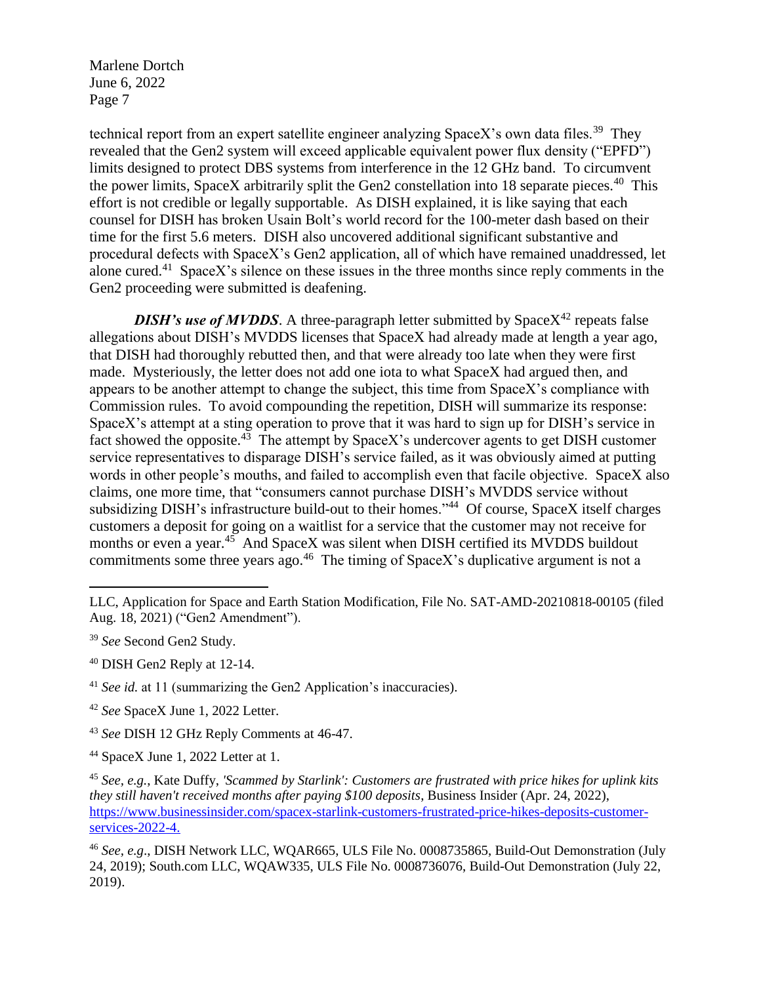technical report from an expert satellite engineer analyzing SpaceX's own data files.<sup>39</sup> They revealed that the Gen2 system will exceed applicable equivalent power flux density ("EPFD") limits designed to protect DBS systems from interference in the 12 GHz band. To circumvent the power limits, SpaceX arbitrarily split the Gen2 constellation into 18 separate pieces.<sup>40</sup> This effort is not credible or legally supportable. As DISH explained, it is like saying that each counsel for DISH has broken Usain Bolt's world record for the 100-meter dash based on their time for the first 5.6 meters. DISH also uncovered additional significant substantive and procedural defects with SpaceX's Gen2 application, all of which have remained unaddressed, let alone cured.<sup>41</sup> SpaceX's silence on these issues in the three months since reply comments in the Gen2 proceeding were submitted is deafening.

*DISH's use of MVDDS*. A three-paragraph letter submitted by Space $X^{42}$  repeats false allegations about DISH's MVDDS licenses that SpaceX had already made at length a year ago, that DISH had thoroughly rebutted then, and that were already too late when they were first made. Mysteriously, the letter does not add one iota to what SpaceX had argued then, and appears to be another attempt to change the subject, this time from SpaceX's compliance with Commission rules. To avoid compounding the repetition, DISH will summarize its response: SpaceX's attempt at a sting operation to prove that it was hard to sign up for DISH's service in fact showed the opposite.<sup>43</sup> The attempt by SpaceX's undercover agents to get DISH customer service representatives to disparage DISH's service failed, as it was obviously aimed at putting words in other people's mouths, and failed to accomplish even that facile objective. SpaceX also claims, one more time, that "consumers cannot purchase DISH's MVDDS service without subsidizing DISH's infrastructure build-out to their homes."<sup>44</sup> Of course, SpaceX itself charges customers a deposit for going on a waitlist for a service that the customer may not receive for months or even a year.<sup>45</sup> And SpaceX was silent when DISH certified its MVDDS buildout commitments some three years ago.<sup>46</sup> The timing of SpaceX's duplicative argument is not a

 $\overline{a}$ 

LLC, Application for Space and Earth Station Modification, File No. SAT-AMD-20210818-00105 (filed Aug. 18, 2021) ("Gen2 Amendment").

<sup>39</sup> *See* Second Gen2 Study.

<sup>40</sup> DISH Gen2 Reply at 12-14.

<sup>&</sup>lt;sup>41</sup> *See id.* at 11 (summarizing the Gen2 Application's inaccuracies).

<sup>42</sup> *See* SpaceX June 1, 2022 Letter.

<sup>43</sup> *See* DISH 12 GHz Reply Comments at 46-47.

<sup>44</sup> SpaceX June 1, 2022 Letter at 1.

<sup>45</sup> *See, e.g.*, Kate Duffy, *'Scammed by Starlink': Customers are frustrated with price hikes for uplink kits they still haven't received months after paying \$100 deposits*, Business Insider (Apr. 24, 2022), [https://www.businessinsider.com/spacex-starlink-customers-frustrated-price-hikes-deposits-customer](https://www.businessinsider.com/spacex-starlink-customers-frustrated-price-hikes-deposits-customer-services-2022-4)[services-2022-4.](https://www.businessinsider.com/spacex-starlink-customers-frustrated-price-hikes-deposits-customer-services-2022-4)

<sup>46</sup> *See, e.g*., DISH Network LLC, WQAR665, ULS File No. 0008735865, Build-Out Demonstration (July 24, 2019); South.com LLC, WQAW335, ULS File No. 0008736076, Build-Out Demonstration (July 22, 2019).